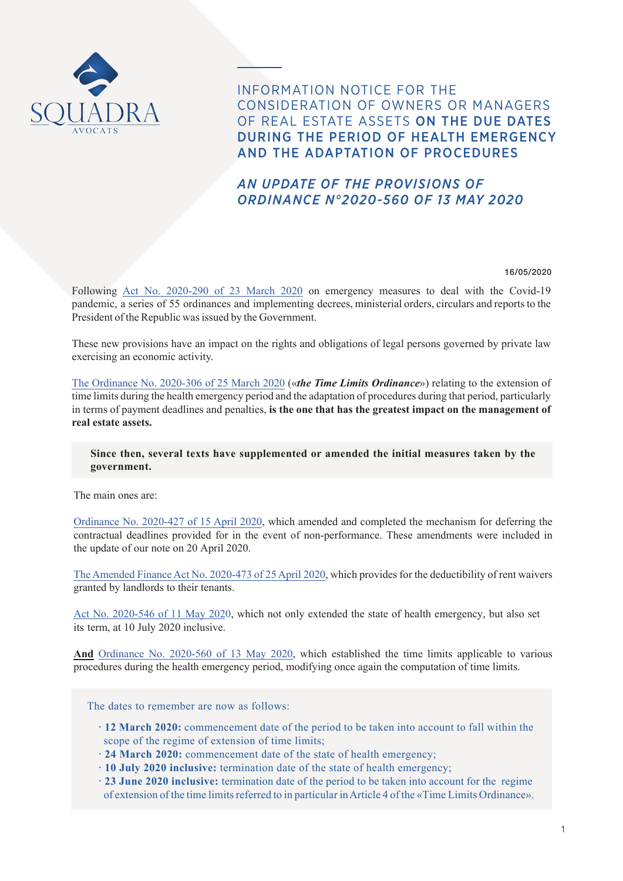

INFORMATION NOTICE FOR THE CONSIDERATION OF OWNERS OR MANAGERS OF REAL ESTATE ASSETS ON THE DUE DATES DURING THE PERIOD OF HEALTH EMERGENCY AND THE ADAPTATION OF PROCEDURES

# *AN UPDATE OF THE PROVISIONS OF ORDINANCE N°2020-560 OF 13 MAY 2020*

#### 16/05/2020

Following [Act No. 2020-290 of 23 March 2020](https://www.legifrance.gouv.fr/affichTexte.do?cidTexte=JORFTEXT000041746313&categorieLien=id) on emergency measures to deal with the Covid-19 pandemic, a series of 55 ordinances and implementing decrees, ministerial orders, circulars and reports to the President of the Republic was issued by the Government.

These new provisions have an impact on the rights and obligations of legal persons governed by private law exercising an economic activity.

[The Ordinance No. 2020-306 of 25 March 2020](https://www.legifrance.gouv.fr/affichTexte.do?cidTexte=JORFTEXT000041755644) («*the Time Limits Ordinance*») relating to the extension of time limits during the health emergency period and the adaptation of procedures during that period, particularly in terms of payment deadlines and penalties, **is the one that has the greatest impact on the management of real estate assets.**

# **Since then, several texts have supplemented or amended the initial measures taken by the government.**

The main ones are:

[Ordinance No. 2020-427 of 15 April 2020](https://www.legifrance.gouv.fr/affichTexte.do?cidTexte=JORFTEXT000041800899&categorieLien=id), which amended and completed the mechanism for deferring the contractual deadlines provided for in the event of non-performance. These amendments were included in the update of our note on 20 April 2020.

[The Amended Finance Act No. 2020-473 of 25 April 2020](https://www.legifrance.gouv.fr/affichTexte.do?cidTexte=JORFTEXT000041820860&categorieLien=id), which provides for the deductibility of rent waivers granted by landlords to their tenants.

[Act No. 2020-546 of 11 May 202](https://www.legifrance.gouv.fr/eli/loi/2020/5/11/PRMX2010645L/jo/texte)0, which not only extended the state of health emergency, but also set its term, at 10 July 2020 inclusive.

**And** [Ordinance No. 2020-560 of 13 May 2020,](https://www.legifrance.gouv.fr/affichTexte.do;jsessionid=ABF41C7E328BDDCC597F0A3926CFAD64.tplgfr41s_2?cidTexte=JORFTEXT000041876355&dateTexte=&oldAction=rechJO&categorieLien=id&idJO=JORFCONT000041875892) which established the time limits applicable to various procedures during the health emergency period, modifying once again the computation of time limits.

The dates to remember are now as follows:

- **· 12 March 2020:** commencement date of the period to be taken into account to fall within the scope of the regime of extension of time limits;
- **· 24 March 2020:** commencement date of the state of health emergency;
- **· 10 July 2020 inclusive:** termination date of the state of health emergency;
- **· 23 June 2020 inclusive:** termination date of the period to be taken into account for the regime of extension of the time limits referred to in particular in Article 4 of the «Time Limits Ordinance».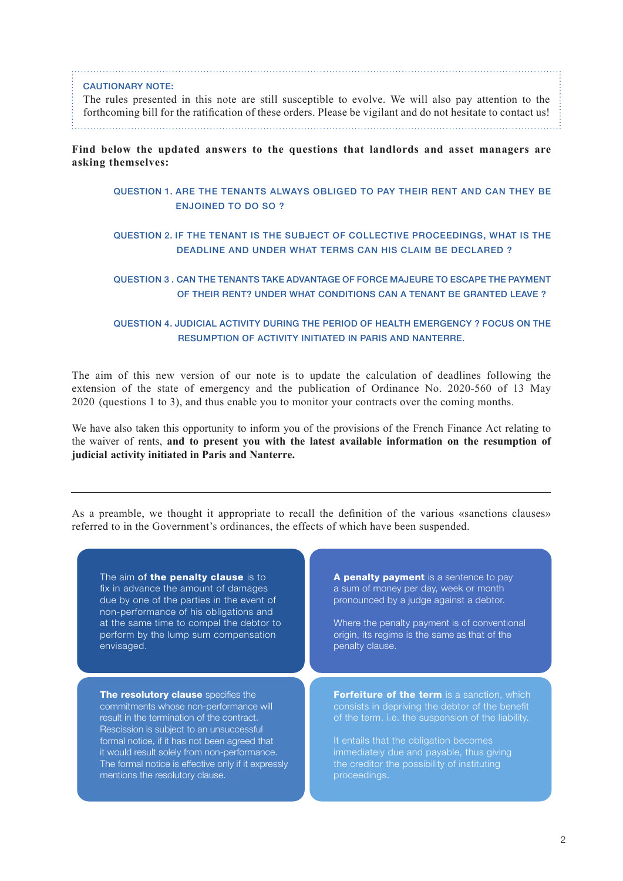#### CAUTIONARY NOTE:

The rules presented in this note are still susceptible to evolve. We will also pay attention to the forthcoming bill for the ratification of these orders. Please be vigilant and do not hesitate to contact us!

#### **Find below the updated answers to the questions that landlords and asset managers are asking themselves:**

### [QUESTION 1. ARE THE TENANTS ALWAYS OBLIGED TO PAY THEIR RENT AND CAN THEY BE](#page-2-0) [ENJOINED TO DO SO ?](#page-2-0)

# [QUESTION 2. IF THE TENANT IS THE SUBJECT OF COLLECTIVE PROCEEDINGS, WHAT IS THE](#page-6-0) [DEADLINE AND UNDER WHAT TERMS CAN HIS CLAIM BE DECLARED ?](#page-6-0)

# [QUESTION 3 . CAN THE TENANTS TAKE ADVANTAGE OF FORCE MAJEURE TO ESCAPE THE PAYMENT](#page-8-0)  [OF THEIR RENT? UNDER WHAT CONDITIONS CAN A TENANT BE GRANTED LEAVE ?](#page-8-0)

### [QUESTION 4. JUDICIAL ACTIVITY DURING THE PERIOD OF HEALTH EMERGENCY ? FOCUS ON THE](#page-11-0)  [RESUMPTION OF ACTIVITY INITIATED IN PARIS AND NANTERRE.](#page-11-0)

The aim of this new version of our note is to update the calculation of deadlines following the extension of the state of emergency and the publication of Ordinance No. 2020-560 of 13 May 2020 (questions 1 to 3), and thus enable you to monitor your contracts over the coming months.

We have also taken this opportunity to inform you of the provisions of the French Finance Act relating to the waiver of rents, **and to present you with the latest available information on the resumption of judicial activity initiated in Paris and Nanterre.**

As a preamble, we thought it appropriate to recall the definition of the various «sanctions clauses» referred to in the Government's ordinances, the effects of which have been suspended.

| The aim of the penalty clause is to       |
|-------------------------------------------|
| fix in advance the amount of damages      |
| due by one of the parties in the event of |
| non-performance of his obligations and    |
| at the same time to compel the debtor to  |
| perform by the lump sum compensation      |
| envisaged.                                |

The resolutory clause specifies the commitments whose non-performance will result in the termination of the contract. Rescission is subject to an unsuccessful formal notice, if it has not been agreed that it would result solely from non-performance. The formal notice is effective only if it expressly mentions the resolutory clause.

A penalty payment is a sentence to pay a sum of money per day, week or month pronounced by a judge against a debtor.

Where the penalty payment is of conventional origin, its regime is the same as that of the penalty clause.

Forfeiture of the term is a sanction, which consists in depriving the debtor of the benefit of the term, i.e. the suspension of the liability.

It entails that the obligation becomes immediately due and payable, thus giving the creditor the possibility of instituting proceedings.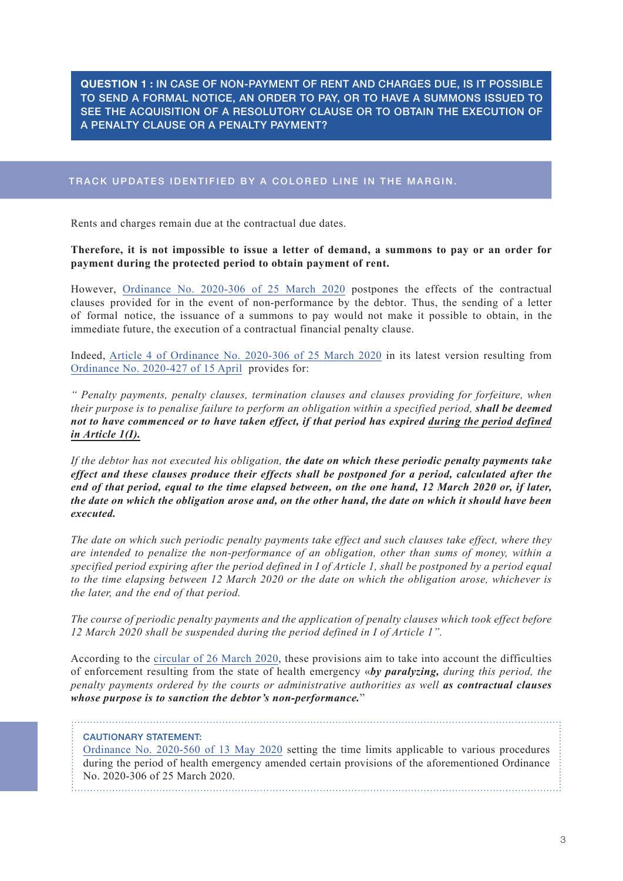<span id="page-2-0"></span>**QUESTION 1 :** IN CASE OF NON-PAYMENT OF RENT AND CHARGES DUE, IS IT POSSIBLE TO SEND A FORMAL NOTICE, AN ORDER TO PAY, OR TO HAVE A SUMMONS ISSUED TO SEE THE ACQUISITION OF A RESOLUTORY CLAUSE OR TO OBTAIN THE EXECUTION OF A PENALTY CLAUSE OR A PENALTY PAYMENT?

# TRACK UPDATES IDENTIFIED BY A COLORED LINE IN THE MARGIN.

Rents and charges remain due at the contractual due dates.

#### **Therefore, it is not impossible to issue a letter of demand, a summons to pay or an order for payment during the protected period to obtain payment of rent.**

However, Ordinance [No. 2020-306 of 25 March 2020](https://www.legifrance.gouv.fr/affichTexte.do?cidTexte=JORFTEXT000041755644) postpones the effects of the contractual clauses provided for in the event of non-performance by the debtor. Thus, the sending of a letter of formal notice, the issuance of a summons to pay would not make it possible to obtain, in the immediate future, the execution of a contractual financial penalty clause.

Indeed, [Article 4 of Ordinance No. 2020-306 of 25 March 2020](https://www.legifrance.gouv.fr/affichTexte.do?cidTexte=JORFTEXT000041755644) in its latest version resulting from [Ordinance No. 2020-427 of 15](https://www.legifrance.gouv.fr/affichTexte.do?cidTexte=JORFTEXT000041800899&categorieLien=id) April provides for:

*" Penalty payments, penalty clauses, termination clauses and clauses providing for forfeiture, when their purpose is to penalise failure to perform an obligation within a specified period, shall be deemed not to have commenced or to have taken effect, if that period has expired during the period defined in Article 1(I).*

*If the debtor has not executed his obligation, the date on which these periodic penalty payments take effect and these clauses produce their effects shall be postponed for a period, calculated after the end of that period, equal to the time elapsed between, on the one hand, 12 March 2020 or, if later, the date on which the obligation arose and, on the other hand, the date on which it should have been executed.*

*The date on which such periodic penalty payments take effect and such clauses take effect, where they are intended to penalize the non-performance of an obligation, other than sums of money, within a specified period expiring after the period defined in I of Article 1, shall be postponed by a period equal to the time elapsing between 12 March 2020 or the date on which the obligation arose, whichever is the later, and the end of that period.*

*The course of periodic penalty payments and the application of penalty clauses which took effect before 12 March 2020 shall be suspended during the period defined in I of Article 1".*

According to the [circular of 26 March 2020](http://www.justice.gouv.fr/bo/2020/20200327/JUSC2008608C.pdf), these provisions aim to take into account the difficulties of enforcement resulting from the state of health emergency «*by paralyzing, during this period, the penalty payments ordered by the courts or administrative authorities as well as contractual clauses whose purpose is to sanction the debtor's non-performance.*"

#### CAUTIONARY STATEMENT:

[Ordinance No. 2020-560 of 13 May 2020](https://www.legifrance.gouv.fr/affichTexte.do;jsessionid=ABF41C7E328BDDCC597F0A3926CFAD64.tplgfr41s_2?cidTexte=JORFTEXT000041876355&dateTexte=&oldAction=rechJO&categorieLien=id&idJO=JORFCONT000041875892) setting the time limits applicable to various procedures during the period of health emergency amended certain provisions of the aforementioned Ordinance No. 2020-306 of 25 March 2020.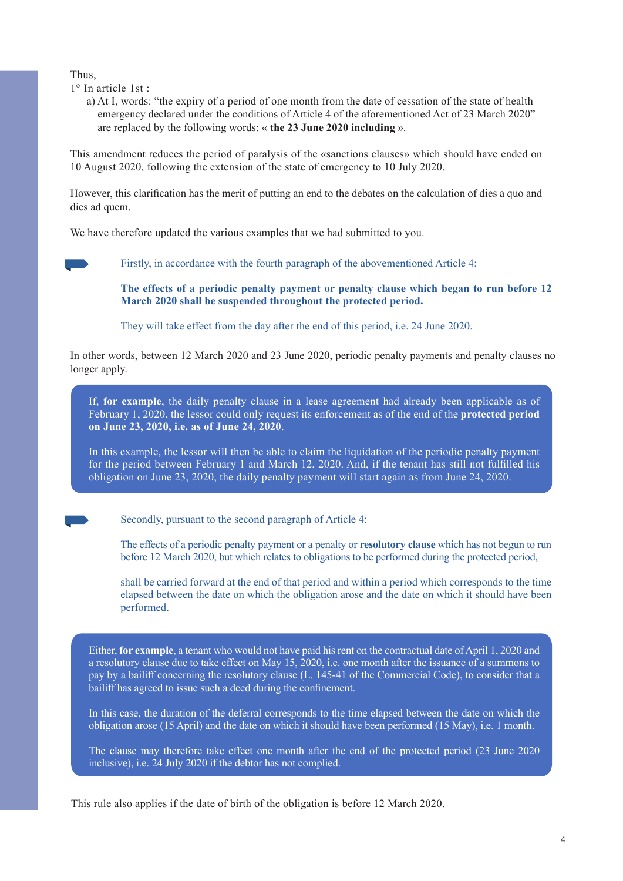Thus,

- 1° In article 1st :
	- a) At I, words: "the expiry of a period of one month from the date of cessation of the state of health emergency declared under the conditions of Article 4 of the aforementioned Act of 23 March 2020" are replaced by the following words: « **the 23 June 2020 including** ».

This amendment reduces the period of paralysis of the «sanctions clauses» which should have ended on 10 August 2020, following the extension of the state of emergency to 10 July 2020.

However, this clarification has the merit of putting an end to the debates on the calculation of dies a quo and dies ad quem.

We have therefore updated the various examples that we had submitted to you.

Firstly, in accordance with the fourth paragraph of the abovementioned Article 4:

**The effects of a periodic penalty payment or penalty clause which began to run before 12 March 2020 shall be suspended throughout the protected period.** 

They will take effect from the day after the end of this period, i.e. 24 June 2020.

In other words, between 12 March 2020 and 23 June 2020, periodic penalty payments and penalty clauses no longer apply.

If, **for example**, the daily penalty clause in a lease agreement had already been applicable as of February 1, 2020, the lessor could only request its enforcement as of the end of the **protected period on June 23, 2020, i.e. as of June 24, 2020**.

In this example, the lessor will then be able to claim the liquidation of the periodic penalty payment for the period between February 1 and March 12, 2020. And, if the tenant has still not fulfilled his obligation on June 23, 2020, the daily penalty payment will start again as from June 24, 2020.

Secondly, pursuant to the second paragraph of Article 4:

The effects of a periodic penalty payment or a penalty or **resolutory clause** which has not begun to run before 12 March 2020, but which relates to obligations to be performed during the protected period,

shall be carried forward at the end of that period and within a period which corresponds to the time elapsed between the date on which the obligation arose and the date on which it should have been performed.

Either, **for example**, a tenant who would not have paid his rent on the contractual date of April 1, 2020 and a resolutory clause due to take effect on May 15, 2020, i.e. one month after the issuance of a summons to pay by a bailiff concerning the resolutory clause (L. 145-41 of the Commercial Code), to consider that a bailiff has agreed to issue such a deed during the confinement.

In this case, the duration of the deferral corresponds to the time elapsed between the date on which the obligation arose (15 April) and the date on which it should have been performed (15 May), i.e. 1 month.

The clause may therefore take effect one month after the end of the protected period (23 June 2020 inclusive), i.e. 24 July 2020 if the debtor has not complied.

This rule also applies if the date of birth of the obligation is before 12 March 2020.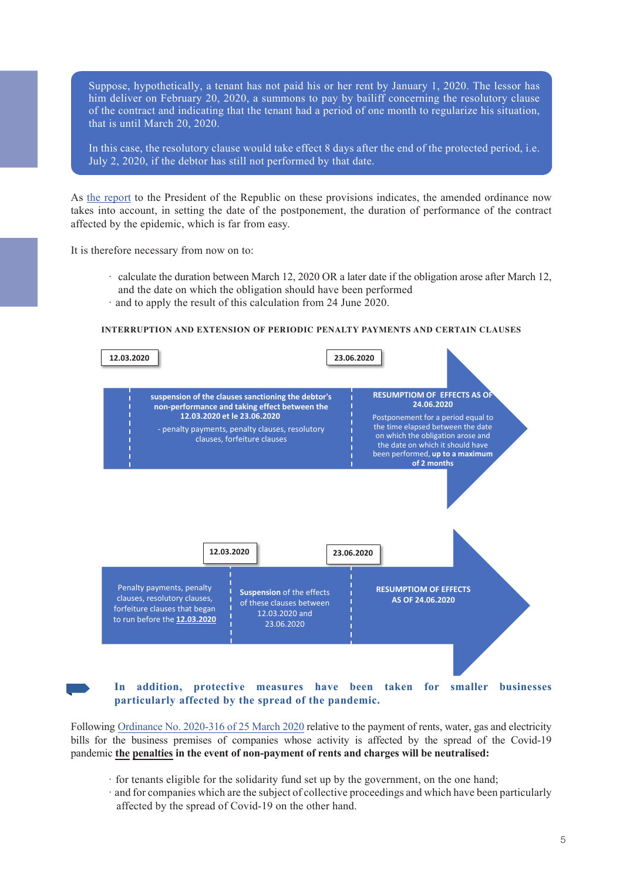Suppose, hypothetically, a tenant has not paid his or her rent by January 1, 2020. The lessor has him deliver on February 20, 2020, a summons to pay by bailiff concerning the resolutory clause of the contract and indicating that the tenant had a period of one month to regularize his situation, that is until March 20, 2020.

In this case, the resolutory clause would take effect 8 days after the end of the protected period, i.e. July 2, 2020, if the debtor has still not performed by that date.

As [the report](https://www.legifrance.gouv.fr/affichTexte.do?cidTexte=JORFTEXT000041800867&categorieLien=id) to the President of the Republic on these provisions indicates, the amended ordinance now takes into account, in setting the date of the postponement, the duration of performance of the contract affected by the epidemic, which is far from easy.

It is therefore necessary from now on to:

- · calculate the duration between March 12, 2020 OR a later date if the obligation arose after March 12, and the date on which the obligation should have been performed
- · and to apply the result of this calculation from 24 June 2020.

#### **INTERRUPTION AND EXTENSION OF PERIODIC PENALTY PAYMENTS AND CERTAIN CLAUSES**



**In addition, protective measures have been taken for smaller businesses particularly affected by the spread of the pandemic.**

Following Ordinance [No. 2020-316 of 25 March 2020](https://www.legifrance.gouv.fr/affichTexte.do?cidTexte=JORFTEXT000041755842&categorieLien=id) relative to the payment of rents, water, gas and electricity bills for the business premises of companies whose activity is affected by the spread of the Covid-19 pandemic **the penalties in the event of non-payment of rents and charges will be neutralised:**

- · for tenants eligible for the solidarity fund set up by the government, on the one hand;
- · and for companies which are the subject of collective proceedings and which have been particularly affected by the spread of Covid-19 on the other hand.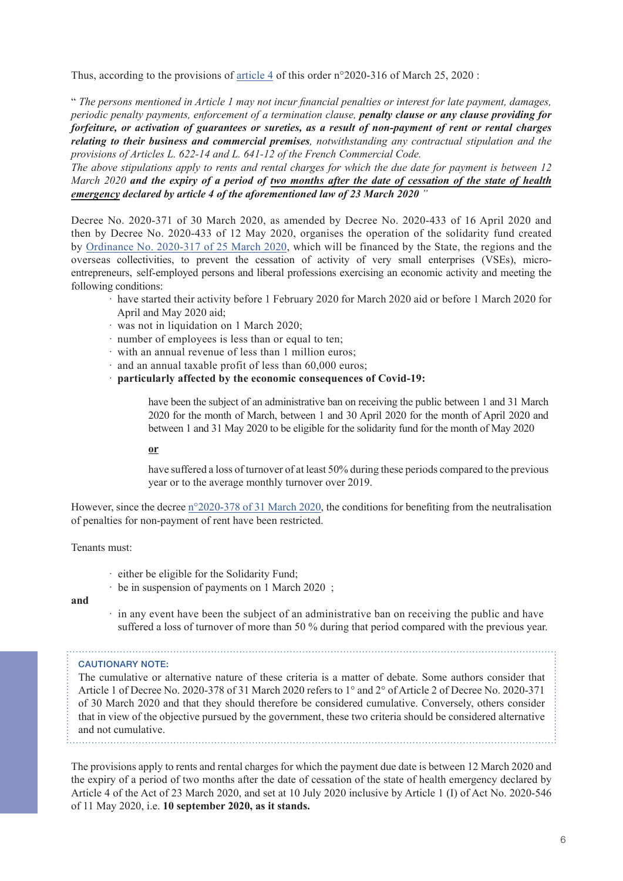Thus, according to the provisions of [article 4](https://www.legifrance.gouv.fr/affichTexteArticle.do;jsessionid=0014AF3E37AD1F83D6FB41E760E20BB4.tplgfr25s_2?idArticle=JORFARTI000041755846&cidTexte=JORFTEXT000041755842&dateTexte=29990101&categorieLien=id) of this order n°2020-316 of March 25, 2020 :

" *The persons mentioned in Article 1 may not incur financial penalties or interest for late payment, damages, periodic penalty payments, enforcement of a termination clause, penalty clause or any clause providing for forfeiture, or activation of guarantees or sureties, as a result of non-payment of rent or rental charges relating to their business and commercial premises, notwithstanding any contractual stipulation and the provisions of Articles L. 622-14 and L. 641-12 of the French Commercial Code.*

*The above stipulations apply to rents and rental charges for which the due date for payment is between 12 March 2020 and the expiry of a period of two months after the date of cessation of the state of health emergency declared by article 4 of the aforementioned law of 23 March 2020 "*

Decree No. 2020-371 of 30 March 2020, as amended by Decree No. 2020-433 of 16 April 2020 and then by Decree No. 2020-433 of 12 May 2020, organises the operation of the solidarity fund created by Ordinance [No. 2020-317 of 25 March 2020](https://www.legifrance.gouv.fr/affichTexte.do?cidTexte=JORFTEXT000041755852&categorieLien=cid), which will be financed by the State, the regions and the overseas collectivities, to prevent the cessation of activity of very small enterprises (VSEs), microentrepreneurs, self-employed persons and liberal professions exercising an economic activity and meeting the following conditions:

- · have started their activity before 1 February 2020 for March 2020 aid or before 1 March 2020 for April and May 2020 aid;
- · was not in liquidation on 1 March 2020;
- · number of employees is less than or equal to ten;
- · with an annual revenue of less than 1 million euros;
- · and an annual taxable profit of less than 60,000 euros;
- · **particularly affected by the economic consequences of Covid-19:**

have been the subject of an administrative ban on receiving the public between 1 and 31 March 2020 for the month of March, between 1 and 30 April 2020 for the month of April 2020 and between 1 and 31 May 2020 to be eligible for the solidarity fund for the month of May 2020

#### **or**

have suffered a loss of turnover of at least 50% during these periods compared to the previous year or to the average monthly turnover over 2019.

However, since the decree [n°2020-378 of 31 March 2020](https://www.legifrance.gouv.fr/affichTexte.do?cidTexte=JORFTEXT000041774082&categorieLien=id), the conditions for benefiting from the neutralisation of penalties for non-payment of rent have been restricted.

Tenants must:

- · either be eligible for the Solidarity Fund;
- · be in suspension of payments on 1 March 2020 ;

#### **and**

· in any event have been the subject of an administrative ban on receiving the public and have suffered a loss of turnover of more than 50 % during that period compared with the previous year.

#### CAUTIONARY NOTE:

The cumulative or alternative nature of these criteria is a matter of debate. Some authors consider that Article 1 of Decree No. 2020-378 of 31 March 2020 refers to 1° and 2° of Article 2 of Decree No. 2020-371 of 30 March 2020 and that they should therefore be considered cumulative. Conversely, others consider that in view of the objective pursued by the government, these two criteria should be considered alternative and not cumulative.

The provisions apply to rents and rental charges for which the payment due date is between 12 March 2020 and the expiry of a period of two months after the date of cessation of the state of health emergency declared by Article 4 of the Act of 23 March 2020, and set at 10 July 2020 inclusive by Article 1 (I) of Act No. 2020-546 of 11 May 2020, i.e. **10 september 2020, as it stands.**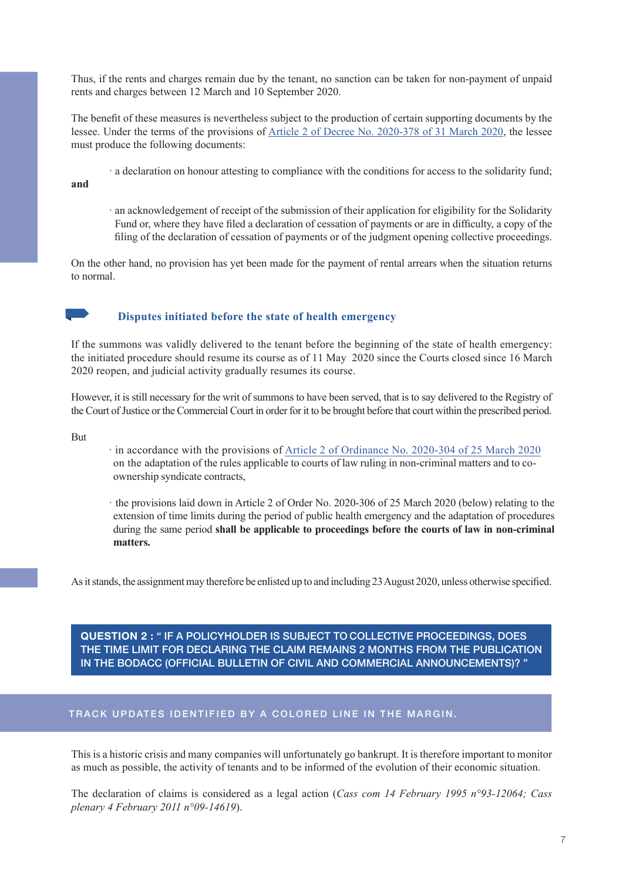<span id="page-6-0"></span>Thus, if the rents and charges remain due by the tenant, no sanction can be taken for non-payment of unpaid rents and charges between 12 March and 10 September 2020.

The benefit of these measures is nevertheless subject to the production of certain supporting documents by the lessee. Under the terms of the provisions of [Article 2 of Decree No. 2020-378 of 31 March 2020](https://www.legifrance.gouv.fr/affichTexte.do?cidTexte=JORFTEXT000041774082&categorieLien=id), the lessee must produce the following documents:

· a declaration on honour attesting to compliance with the conditions for access to the solidarity fund;

**and**

· an acknowledgement of receipt of the submission of their application for eligibility for the Solidarity Fund or, where they have filed a declaration of cessation of payments or are in difficulty, a copy of the filing of the declaration of cessation of payments or of the judgment opening collective proceedings.

On the other hand, no provision has yet been made for the payment of rental arrears when the situation returns to normal.



### **Disputes initiated before the state of health emergency**

If the summons was validly delivered to the tenant before the beginning of the state of health emergency: the initiated procedure should resume its course as of 11 May 2020 since the Courts closed since 16 March 2020 reopen, and judicial activity gradually resumes its course.

However, it is still necessary for the writ of summons to have been served, that is to say delivered to the Registry of the Court of Justice or the Commercial Court in order for it to be brought before that court within the prescribed period.

But

· in accordance with the provisions of Article 2 of Ordinance [No. 2020-304 of 25 March 2020](https://www.legifrance.gouv.fr/affichTexteArticle.do;jsessionid=0014AF3E37AD1F83D6FB41E760E20BB4.tplgfr25s_2?idArticle=JORFARTI000041755588&cidTexte=JORFTEXT000041755577&dateTexte=29990101&categorieLien=id) on the adaptation of the rules applicable to courts of law ruling in non-criminal matters and to coownership syndicate contracts,

· the provisions laid down in Article 2 of Order No. 2020-306 of 25 March 2020 (below) relating to the extension of time limits during the period of public health emergency and the adaptation of procedures during the same period **shall be applicable to proceedings before the courts of law in non-criminal matters.**

As it stands, the assignment may therefore be enlisted up to and including 23 August 2020, unless otherwise specified.

**QUESTION 2 :** " IF A POLICYHOLDER IS SUBJECT TO COLLECTIVE PROCEEDINGS, DOES THE TIME LIMIT FOR DECLARING THE CLAIM REMAINS 2 MONTHS FROM THE PUBLICATION IN THE BODACC (OFFICIAL BULLETIN OF CIVIL AND COMMERCIAL ANNOUNCEMENTS)? "

#### TRACK UPDATES IDENTIFIED BY A COLORED LINE IN THE MARGIN.

This is a historic crisis and many companies will unfortunately go bankrupt. It is therefore important to monitor as much as possible, the activity of tenants and to be informed of the evolution of their economic situation.

The declaration of claims is considered as a legal action (*Cass com 14 February 1995 n°93-12064; Cass plenary 4 February 2011 n°09-14619*).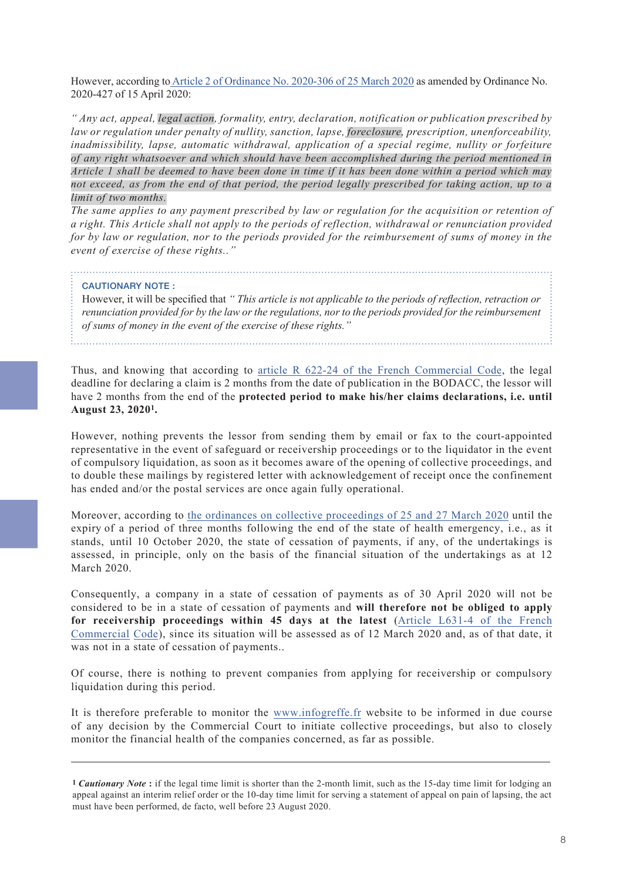However, according to Article 2 of Ordinance [No. 2020-306 of 25 March 2020](https://www.legifrance.gouv.fr/affichTexteArticle.do;jsessionid=7E01D0C9FE876838442C63E2F879AA71.tplgfr25s_2?idArticle=LEGIARTI000041802471&cidTexte=JORFTEXT000041755644&categorieLien=id&dateTexte=) as amended by Ordinance No. 2020-427 of 15 April 2020:

*" Any act, appeal, legal action, formality, entry, declaration, notification or publication prescribed by law or regulation under penalty of nullity, sanction, lapse, foreclosure, prescription, unenforceability, inadmissibility, lapse, automatic withdrawal, application of a special regime, nullity or forfeiture of any right whatsoever and which should have been accomplished during the period mentioned in Article 1 shall be deemed to have been done in time if it has been done within a period which may not exceed, as from the end of that period, the period legally prescribed for taking action, up to a limit of two months.*

*The same applies to any payment prescribed by law or regulation for the acquisition or retention of a right. This Article shall not apply to the periods of reflection, withdrawal or renunciation provided for by law or regulation, nor to the periods provided for the reimbursement of sums of money in the event of exercise of these rights.."*

#### CAUTIONARY NOTE :

However, it will be specified that *" This article is not applicable to the periods of reflection, retraction or renunciation provided for by the law or the regulations, nor to the periods provided for the reimbursement of sums of money in the event of the exercise of these rights."*

Thus, and knowing that according to [article R 622-24 of the French Commercial Code](https://www.legifrance.gouv.fr/affichCodeArticle.do?cidTexte=LEGITEXT000005634379&idArticle=LEGIARTI000029175247), the legal deadline for declaring a claim is 2 months from the date of publication in the BODACC, the lessor will have 2 months from the end of the **protected period to make his/her claims declarations, i.e. until August 23, 2020<sup>1</sup> .**

However, nothing prevents the lessor from sending them by email or fax to the court-appointed representative in the event of safeguard or receivership proceedings or to the liquidator in the event of compulsory liquidation, as soon as it becomes aware of the opening of collective proceedings, and to double these mailings by registered letter with acknowledgement of receipt once the confinement has ended and/or the postal services are once again fully operational.

Moreover, according to the ordinances [on collective proceedings of 25 and 27 March 2020](https://www.legifrance.gouv.fr/affichTexte.do?cidTexte=JORFTEXT000041762344&dateTexte=&categorieLien=id) until the expiry of a period of three months following the end of the state of health emergency, i.e., as it stands, until 10 October 2020, the state of cessation of payments, if any, of the undertakings is assessed, in principle, only on the basis of the financial situation of the undertakings as at 12 March 2020.

Consequently, a company in a state of cessation of payments as of 30 April 2020 will not be considered to be in a state of cessation of payments and **will therefore not be obliged to apply [for receivership proceedings within 45 days at the latest](https://www.legifrance.gouv.fr/affichCodeArticle.do?idArticle=LEGIARTI000028724106&cidTexte=LEGITEXT000005634379&dateTexte=20140701)** (Article L631-4 of the French Commercial [Code](https://www.legifrance.gouv.fr/affichCodeArticle.do?idArticle=LEGIARTI000028724106&cidTexte=LEGITEXT000005634379&dateTexte=20140701)), since its situation will be assessed as of 12 March 2020 and, as of that date, it was not in a state of cessation of payments..

Of course, there is nothing to prevent companies from applying for receivership or compulsory liquidation during this period.

It is therefore preferable to monitor the [www.infogreffe.fr](https://www.infogreffe.fr/) website to be informed in due course of any decision by the Commercial Court to initiate collective proceedings, but also to closely monitor the financial health of the companies concerned, as far as possible.

**<sup>1</sup>** *Cautionary Note* **:** if the legal time limit is shorter than the 2-month limit, such as the 15-day time limit for lodging an appeal against an interim relief order or the 10-day time limit for serving a statement of appeal on pain of lapsing, the act must have been performed, de facto, well before 23 August 2020.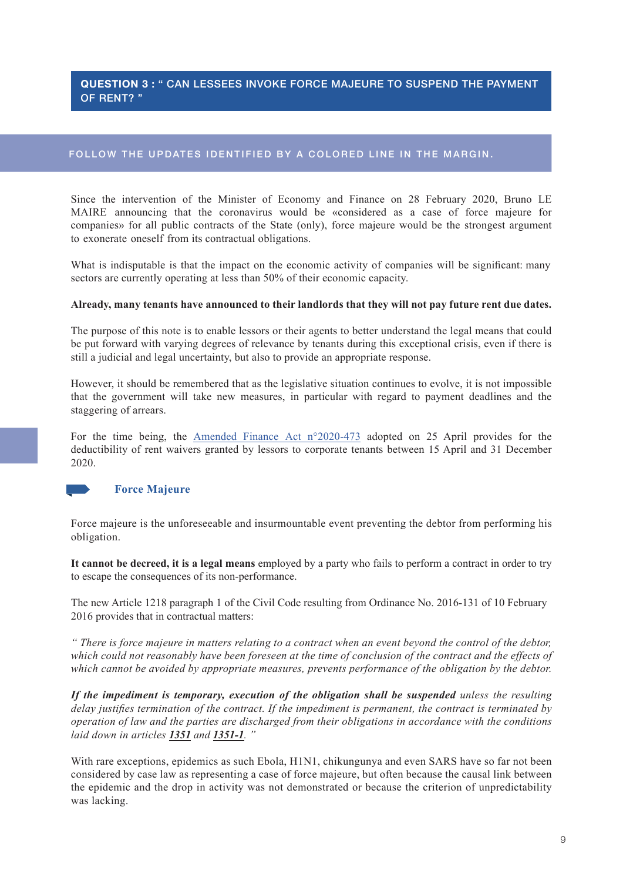# <span id="page-8-0"></span>**QUESTION 3 :** " CAN LESSEES INVOKE FORCE MAJEURE TO SUSPEND THE PAYMENT OF RENT? "

# FOLLOW THE UPDATES IDENTIFIED BY A COLORED LINE IN THE MARGIN.

Since the intervention of the Minister of Economy and Finance on 28 February 2020, Bruno LE MAIRE announcing that the coronavirus would be «considered as a case of force majeure for companies» for all public contracts of the State (only), force majeure would be the strongest argument to exonerate oneself from its contractual obligations.

What is indisputable is that the impact on the economic activity of companies will be significant: many sectors are currently operating at less than 50% of their economic capacity.

#### **Already, many tenants have announced to their landlords that they will not pay future rent due dates.**

The purpose of this note is to enable lessors or their agents to better understand the legal means that could be put forward with varying degrees of relevance by tenants during this exceptional crisis, even if there is still a judicial and legal uncertainty, but also to provide an appropriate response.

However, it should be remembered that as the legislative situation continues to evolve, it is not impossible that the government will take new measures, in particular with regard to payment deadlines and the staggering of arrears.

For the time being, the Amended Finance Act [n°2020-473](https://www.legifrance.gouv.fr/affichTexte.do?cidTexte=JORFTEXT000041820860&categorieLien=id) adopted on 25 April provides for the deductibility of rent waivers granted by lessors to corporate tenants between 15 April and 31 December 2020.



# **Force Majeure**

Force majeure is the unforeseeable and insurmountable event preventing the debtor from performing his obligation.

**It cannot be decreed, it is a legal means** employed by a party who fails to perform a contract in order to try to escape the consequences of its non-performance.

The new Article 1218 paragraph 1 of the Civil Code resulting from Ordinance No. 2016-131 of 10 February 2016 provides that in contractual matters:

*" There is force majeure in matters relating to a contract when an event beyond the control of the debtor, which could not reasonably have been foreseen at the time of conclusion of the contract and the effects of which cannot be avoided by appropriate measures, prevents performance of the obligation by the debtor.*

*If the impediment is temporary, execution of the obligation shall be suspended unless the resulting delay justifies termination of the contract. If the impediment is permanent, the contract is terminated by operation of law and the parties are discharged from their obligations in accordance with the conditions laid down in articles 1351 and 1351-1. "*

With rare exceptions, epidemics as such Ebola, H1N1, chikungunya and even SARS have so far not been considered by case law as representing a case of force majeure, but often because the causal link between the epidemic and the drop in activity was not demonstrated or because the criterion of unpredictability was lacking.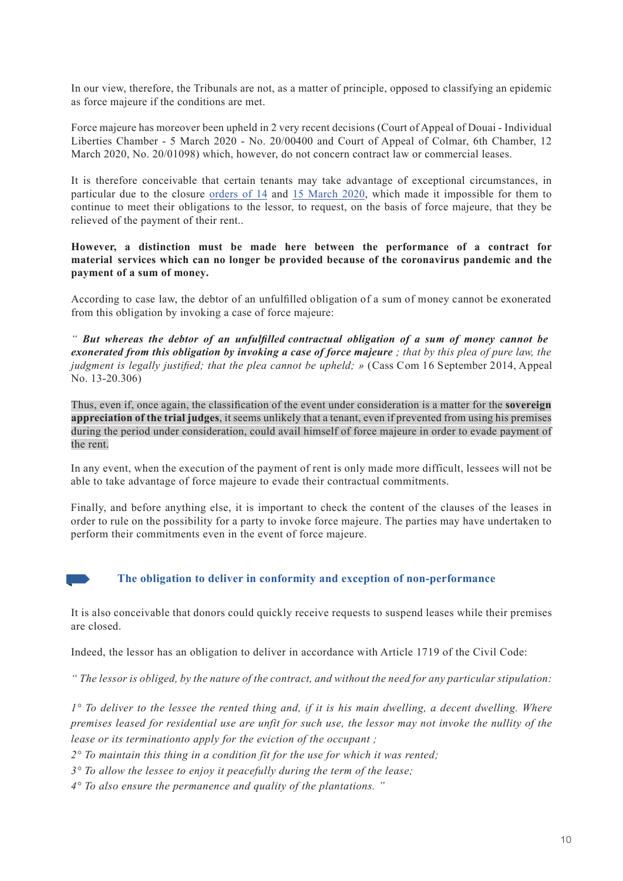In our view, therefore, the Tribunals are not, as a matter of principle, opposed to classifying an epidemic as force majeure if the conditions are met.

Force majeure has moreover been upheld in 2 very recent decisions (Court of Appeal of Douai - Individual Liberties Chamber - 5 March 2020 - No. 20/00400 and Court of Appeal of Colmar, 6th Chamber, 12 March 2020, No. 20/01098) which, however, do not concern contract law or commercial leases.

It is therefore conceivable that certain tenants may take advantage of exceptional circumstances, in particular due to the closure [orders of 14](https://www.legifrance.gouv.fr/affichTexte.do?cidTexte=JORFTEXT000041722917&categorieLien=id) and [15 March 2020,](https://www.legifrance.gouv.fr/affichTexte.do?cidTexte=JORFTEXT000041723302&categorieLien=id) which made it impossible for them to continue to meet their obligations to the lessor, to request, on the basis of force majeure, that they be relieved of the payment of their rent..

**However, a distinction must be made here between the performance of a contract for material services which can no longer be provided because of the coronavirus pandemic and the payment of a sum of money.**

According to case law, the debtor of an unfulfilled obligation of a sum of money cannot be exonerated from this obligation by invoking a case of force majeure:

*" But whereas the debtor of an unfulfilled contractual obligation of a sum of money cannot be exonerated from this obligation by invoking a case of force majeure ; that by this plea of pure law, the judgment is legally justified; that the plea cannot be upheld; »* (Cass Com 16 September 2014, Appeal No. 13-20.306)

Thus, even if, once again, the classification of the event under consideration is a matter for the **sovereign appreciation of the trial judges**, it seems unlikely that a tenant, even if prevented from using his premises during the period under consideration, could avail himself of force majeure in order to evade payment of the rent.

In any event, when the execution of the payment of rent is only made more difficult, lessees will not be able to take advantage of force majeure to evade their contractual commitments.

Finally, and before anything else, it is important to check the content of the clauses of the leases in order to rule on the possibility for a party to invoke force majeure. The parties may have undertaken to perform their commitments even in the event of force majeure.



# **The obligation to deliver in conformity and exception of non-performance**

It is also conceivable that donors could quickly receive requests to suspend leases while their premises are closed.

Indeed, the lessor has an obligation to deliver in accordance with Article 1719 of the Civil Code:

*" The lessor is obliged, by the nature of the contract, and without the need for any particular stipulation:*

*1° To deliver to the lessee the rented thing and, if it is his main dwelling, a decent dwelling. Where premises leased for residential use are unfit for such use, the lessor may not invoke the nullity of the lease or its terminationto apply for the eviction of the occupant ;*

*2° To maintain this thing in a condition fit for the use for which it was rented;*

*3° To allow the lessee to enjoy it peacefully during the term of the lease;*

*4° To also ensure the permanence and quality of the plantations. "*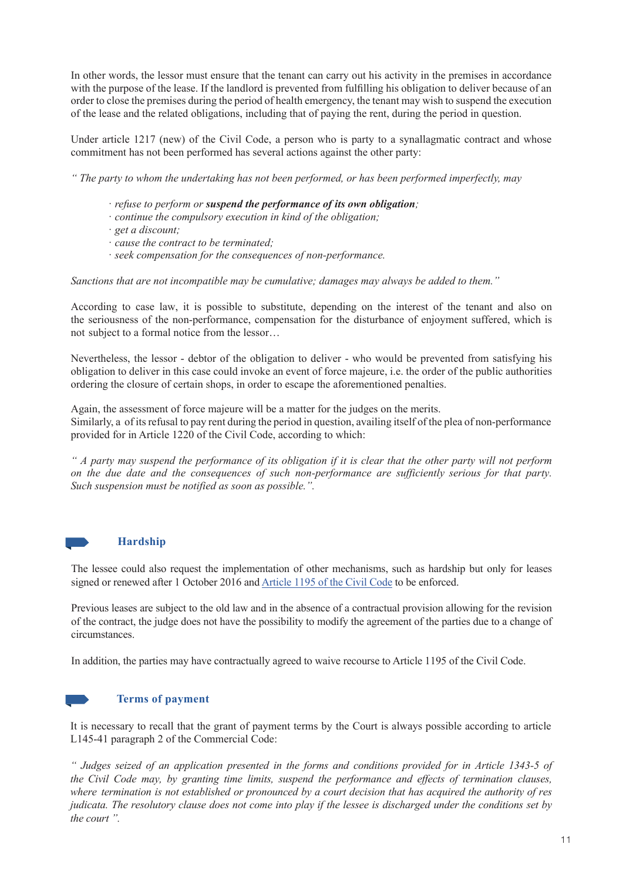In other words, the lessor must ensure that the tenant can carry out his activity in the premises in accordance with the purpose of the lease. If the landlord is prevented from fulfilling his obligation to deliver because of an order to close the premises during the period of health emergency, the tenant may wish to suspend the execution of the lease and the related obligations, including that of paying the rent, during the period in question.

Under article 1217 (new) of the Civil Code, a person who is party to a synallagmatic contract and whose commitment has not been performed has several actions against the other party:

*" The party to whom the undertaking has not been performed, or has been performed imperfectly, may*

- · *refuse to perform or suspend the performance of its own obligation;*
- · *continue the compulsory execution in kind of the obligation;*
- · *get a discount;*
- · *cause the contract to be terminated;*
- · *seek compensation for the consequences of non-performance.*

*Sanctions that are not incompatible may be cumulative; damages may always be added to them."*

According to case law, it is possible to substitute, depending on the interest of the tenant and also on the seriousness of the non-performance, compensation for the disturbance of enjoyment suffered, which is not subject to a formal notice from the lessor…

Nevertheless, the lessor - debtor of the obligation to deliver - who would be prevented from satisfying his obligation to deliver in this case could invoke an event of force majeure, i.e. the order of the public authorities ordering the closure of certain shops, in order to escape the aforementioned penalties.

Again, the assessment of force majeure will be a matter for the judges on the merits. Similarly, a of its refusal to pay rent during the period in question, availing itself of the plea of non-performance provided for in Article 1220 of the Civil Code, according to which:

*" A party may suspend the performance of its obligation if it is clear that the other party will not perform on the due date and the consequences of such non-performance are sufficiently serious for that party. Such suspension must be notified as soon as possible.".*



#### **Hardship**

The lessee could also request the implementation of other mechanisms, such as hardship but only for leases signed or renewed after 1 October 2016 and [Article 1195 of the Civil Code](https://www.legifrance.gouv.fr/affichCodeArticle.do?cidTexte=LEGITEXT000006070721&idArticle=LEGIARTI000006436705) to be enforced.

Previous leases are subject to the old law and in the absence of a contractual provision allowing for the revision of the contract, the judge does not have the possibility to modify the agreement of the parties due to a change of circumstances.

In addition, the parties may have contractually agreed to waive recourse to Article 1195 of the Civil Code.

### **Terms of payment**

It is necessary to recall that the grant of payment terms by the Court is always possible according to article L145-41 paragraph 2 of the Commercial Code:

*" Judges seized of an application presented in the forms and conditions provided for in Article 1343-5 of the Civil Code may, by granting time limits, suspend the performance and effects of termination clauses, where termination is not established or pronounced by a court decision that has acquired the authority of res judicata. The resolutory clause does not come into play if the lessee is discharged under the conditions set by the court ".*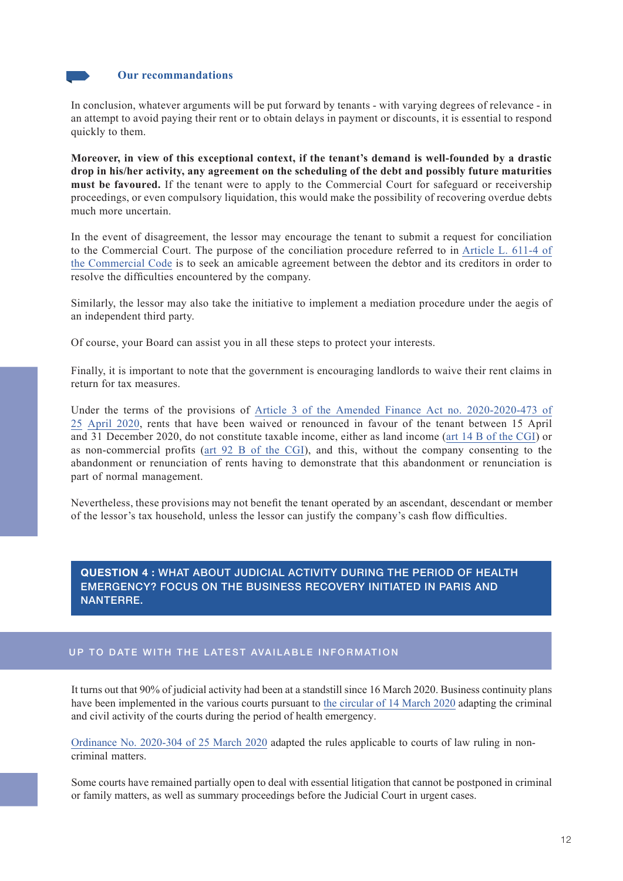

<span id="page-11-0"></span>In conclusion, whatever arguments will be put forward by tenants - with varying degrees of relevance - in an attempt to avoid paying their rent or to obtain delays in payment or discounts, it is essential to respond quickly to them.

**Moreover, in view of this exceptional context, if the tenant's demand is well-founded by a drastic drop in his/her activity, any agreement on the scheduling of the debt and possibly future maturities must be favoured.** If the tenant were to apply to the Commercial Court for safeguard or receivership proceedings, or even compulsory liquidation, this would make the possibility of recovering overdue debts much more uncertain.

In the event of disagreement, the lessor may encourage the tenant to submit a request for conciliation to the Commercial Court. The purpose of the conciliation procedure referred to in [Article L. 611-4 of](https://www.legifrance.gouv.fr/affichCodeArticle.do?idArticle=LEGIARTI000023217170&cidTexte=LEGITEXT000005634379&dateTexte=20101211) [the Commercial Code](https://www.legifrance.gouv.fr/affichCodeArticle.do?idArticle=LEGIARTI000023217170&cidTexte=LEGITEXT000005634379&dateTexte=20101211) is to seek an amicable agreement between the debtor and its creditors in order to resolve the difficulties encountered by the company.

Similarly, the lessor may also take the initiative to implement a mediation procedure under the aegis of an independent third party.

Of course, your Board can assist you in all these steps to protect your interests.

Finally, it is important to note that the government is encouraging landlords to waive their rent claims in return for tax measures.

Under the terms of the provisions of Article 3 of the Amended Finance Act no. 2020-2020-473 of [25 April 2020, rents that have been waived or renounced in favour of the tenant between 15 April](https://www.legifrance.gouv.fr/affichTexteArticle.do;jsessionid=DFD389E2465B20750ADD418FE001590A.tplgfr25s_2?idArticle=JORFARTI000041820870&cidTexte=JORFTEXT000041820860&dateTexte=29990101&categorieLien=id)  and 31 December 2020, do not constitute taxable income, either as land income ([art 14 B of the CGI](https://www.legifrance.gouv.fr/affichCodeArticle.do?cidTexte=LEGITEXT000006069577&idArticle=LEGIARTI000041822354&dateTexte=&categorieLien=id)) or as non-commercial profits ([art 92 B of the CGI\)](https://www.legifrance.gouv.fr/affichCodeArticle.do?cidTexte=LEGITEXT000006069577&idArticle=LEGIARTI000041822781&dateTexte=&categorieLien=id), and this, without the company consenting to the abandonment or renunciation of rents having to demonstrate that this abandonment or renunciation is part of normal management.

Nevertheless, these provisions may not benefit the tenant operated by an ascendant, descendant or member of the lessor's tax household, unless the lessor can justify the company's cash flow difficulties.

**QUESTION 4 :** WHAT ABOUT JUDICIAL ACTIVITY DURING THE PERIOD OF HEALTH EMERGENCY? FOCUS ON THE BUSINESS RECOVERY INITIATED IN PARIS AND NANTERRE.

# UP TO DATE WITH THE LATEST AVAILABLE INFORMATION

It turns out that 90% of judicial activity had been at a standstill since 16 March 2020. Business continuity plans have been implemented in the various courts pursuant to [the circular of 14 March 2020](http://circulaires.legifrance.gouv.fr/pdf/2020/03/cir_44946.pdf) adapting the criminal and civil activity of the courts during the period of health emergency.

Ordinance [No. 2020-304 of 25 March 2020](https://www.legifrance.gouv.fr/affichTexte.do?cidTexte=JORFTEXT000041755577&categorieLien=id) adapted the rules applicable to courts of law ruling in noncriminal matters.

Some courts have remained partially open to deal with essential litigation that cannot be postponed in criminal or family matters, as well as summary proceedings before the Judicial Court in urgent cases.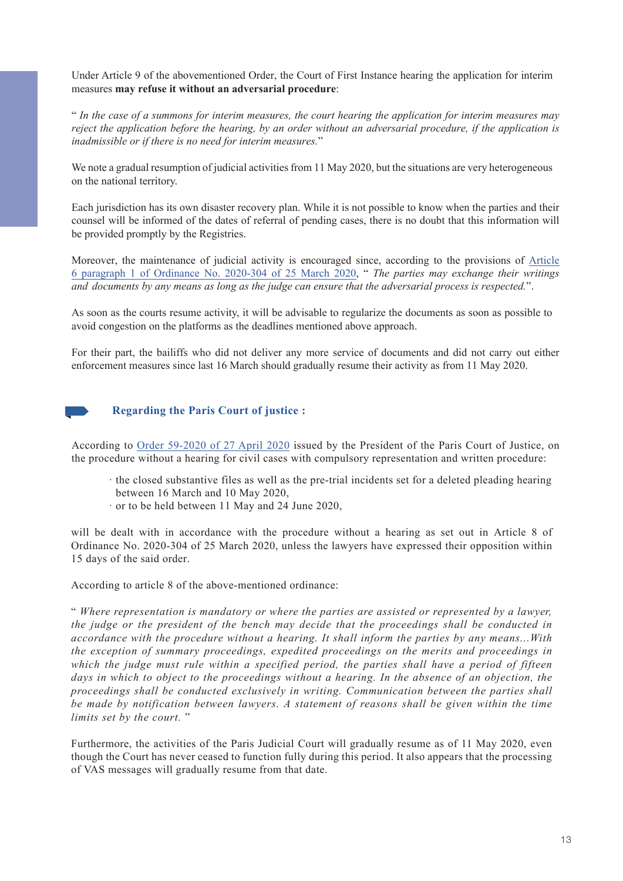Under Article 9 of the abovementioned Order, the Court of First Instance hearing the application for interim measures **may refuse it without an adversarial procedure**:

" *In the case of a summons for interim measures, the court hearing the application for interim measures may reject the application before the hearing, by an order without an adversarial procedure, if the application is inadmissible or if there is no need for interim measures.*"

We note a gradual resumption of judicial activities from 11 May 2020, but the situations are very heterogeneous on the national territory.

Each jurisdiction has its own disaster recovery plan. While it is not possible to know when the parties and their counsel will be informed of the dates of referral of pending cases, there is no doubt that this information will be provided promptly by the Registries.

Moreover, the maintenance of judicial activity is encouraged since, according to the provisions o[f Article](https://www.legifrance.gouv.fr/affichTexte.do?cidTexte=JORFTEXT000041755577&categorieLien=id)  6 paragraph 1 of Ordinance [No. 2020-304 of 25 March 2020](https://www.legifrance.gouv.fr/affichTexte.do?cidTexte=JORFTEXT000041755577&categorieLien=id), " *The parties may exchange their writings and documents by any means as long as the judge can ensure that the adversarial process is respected.*".

As soon as the courts resume activity, it will be advisable to regularize the documents as soon as possible to avoid congestion on the platforms as the deadlines mentioned above approach.

For their part, the bailiffs who did not deliver any more service of documents and did not carry out either enforcement measures since last 16 March should gradually resume their activity as from 11 May 2020.



# **Regarding the Paris Court of justice :**

According to [Order 59-2020 of 27](http://dl.avocatparis.org/com/mailing2020/Ordonnance%2059-2020%20procédure%20civile%20écrite%20sans%20audience%20TJ%20Paris%2027042020.pdf) April 2020 issued by the President of the Paris Court of Justice, on the procedure without a hearing for civil cases with compulsory representation and written procedure:

- · the closed substantive files as well as the pre-trial incidents set for a deleted pleading hearing between 16 March and 10 May 2020,
- · or to be held between 11 May and 24 June 2020,

will be dealt with in accordance with the procedure without a hearing as set out in Article 8 of Ordinance No. 2020-304 of 25 March 2020, unless the lawyers have expressed their opposition within 15 days of the said order.

According to article 8 of the above-mentioned ordinance:

" *Where representation is mandatory or where the parties are assisted or represented by a lawyer, the judge or the president of the bench may decide that the proceedings shall be conducted in accordance with the procedure without a hearing. It shall inform the parties by any means...With the exception of summary proceedings, expedited proceedings on the merits and proceedings in which the judge must rule within a specified period, the parties shall have a period of fifteen days in which to object to the proceedings without a hearing. In the absence of an objection, the proceedings shall be conducted exclusively in writing. Communication between the parties shall be made by notification between lawyers. A statement of reasons shall be given within the time limits set by the court.* "

Furthermore, the activities of the Paris Judicial Court will gradually resume as of 11 May 2020, even though the Court has never ceased to function fully during this period. It also appears that the processing of VAS messages will gradually resume from that date.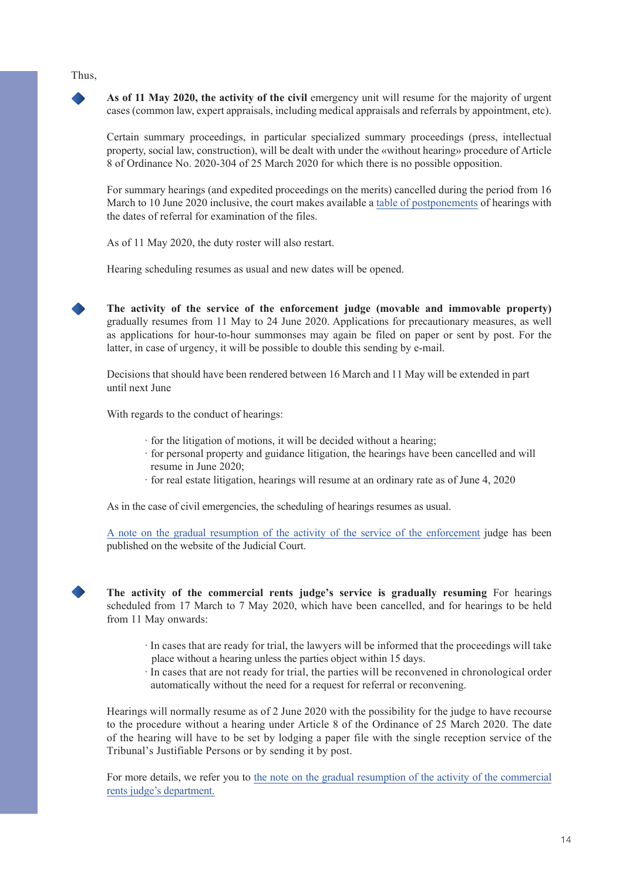#### Thus,

**As of 11 May 2020, the activity of the civil** emergency unit will resume for the majority of urgent cases (common law, expert appraisals, including medical appraisals and referrals by appointment, etc).

Certain summary proceedings, in particular specialized summary proceedings (press, intellectual property, social law, construction), will be dealt with under the «without hearing» procedure of Article 8 of Ordinance No. 2020-304 of 25 March 2020 for which there is no possible opposition.

For summary hearings (and expedited proceedings on the merits) cancelled during the period from 16 March to 10 June 2020 inclusive, the court makes available a [table of postponements](https://www.tribunal-de-paris.justice.fr/sites/default/files/2020-05/Tableau%20renvois%20PUC%2007052020.pdf) of hearings with the dates of referral for examination of the files.

As of 11 May 2020, the duty roster will also restart.

Hearing scheduling resumes as usual and new dates will be opened.

**The activity of the service of the enforcement judge (movable and immovable property)** gradually resumes from 11 May to 24 June 2020. Applications for precautionary measures, as well as applications for hour-to-hour summonses may again be filed on paper or sent by post. For the latter, in case of urgency, it will be possible to double this sending by e-mail.

Decisions that should have been rendered between 16 March and 11 May will be extended in part until next June

With regards to the conduct of hearings:

- · for the litigation of motions, it will be decided without a hearing;
- · for personal property and guidance litigation, the hearings have been cancelled and will resume in June 2020;
- · for real estate litigation, hearings will resume at an ordinary rate as of June 4, 2020

As in the case of civil emergencies, the scheduling of hearings resumes as usual.

A [note on the gradual resumption of the activity of the service of the enforcement](https://www.tribunal-de-paris.justice.fr/sites/default/files/2020-04/Reprise%20Service%20du%20JEX%20Tribunal%20Judiciaire%20de%20Paris%2029042020.pdf) judge has been published on the website of the Judicial Court.

**The activity of the commercial rents judge's service is gradually resuming** For hearings scheduled from 17 March to 7 May 2020, which have been cancelled, and for hearings to be held from 11 May onwards:

- · In cases that are ready for trial, the lawyers will be informed that the proceedings will take place without a hearing unless the parties object within 15 days.
- · In cases that are not ready for trial, the parties will be reconvened in chronological order automatically without the need for a request for referral or reconvening.

Hearings will normally resume as of 2 June 2020 with the possibility for the judge to have recourse to the procedure without a hearing under Article 8 of the Ordinance of 25 March 2020. The date of the hearing will have to be set by lodging a paper file with the single reception service of the Tribunal's Justifiable Persons or by sending it by post.

For more details, we refer you to [the note on the gradual resumption of the activity of the commercial](https://www.tribunal-de-paris.justice.fr/sites/default/files/2020-05/Service%20du%20juge%20des%20loyers%20commerciaux%2011052020.pdf) [rents judge's department.](https://www.tribunal-de-paris.justice.fr/sites/default/files/2020-05/Service%20du%20juge%20des%20loyers%20commerciaux%2011052020.pdf)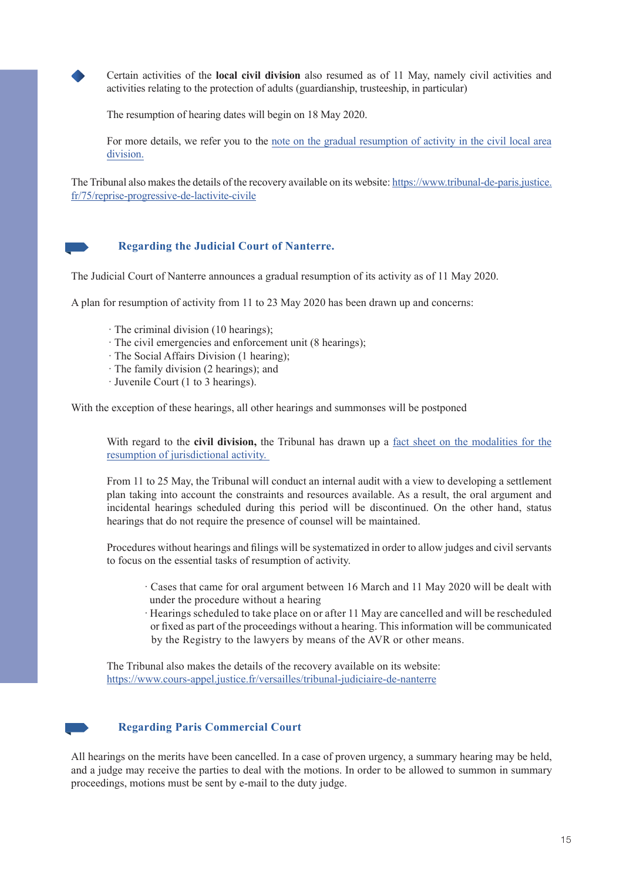

Certain activities of the **local civil division** also resumed as of 11 May, namely civil activities and activities relating to the protection of adults (guardianship, trusteeship, in particular)

The resumption of hearing dates will begin on 18 May 2020.

For more details, we refer you to the [note on the gradual resumption of activity in the civil local area](https://www.tribunal-de-paris.justice.fr/sites/default/files/2020-05/Reprise%20pôle%20civil%20de%20proximité%20TJ%20Paris%2005052020.pdf) [division.](https://www.tribunal-de-paris.justice.fr/sites/default/files/2020-05/Reprise%20pôle%20civil%20de%20proximité%20TJ%20Paris%2005052020.pdf)

The Tribunal also makes the details of the recovery available on its website: [https://www.tribunal-de-paris.justice.](https://www.tribunal-de-paris.justice.fr/75/reprise-progressive-de-lactivite-civile) [fr/75/reprise-progressive-de-lactivite-civile](https://www.tribunal-de-paris.justice.fr/75/reprise-progressive-de-lactivite-civile)



# **Regarding the Judicial Court of Nanterre.**

The Judicial Court of Nanterre announces a gradual resumption of its activity as of 11 May 2020.

A plan for resumption of activity from 11 to 23 May 2020 has been drawn up and concerns:

- · The criminal division (10 hearings);
- · The civil emergencies and enforcement unit (8 hearings);
- · The Social Affairs Division (1 hearing);
- · The family division (2 hearings); and
- · Juvenile Court (1 to 3 hearings).

With the exception of these hearings, all other hearings and summonses will be postponed

With regard to the **civil division**, the Tribunal has drawn up a [fact sheet on the modalities for the](https://www.cours-appel.justice.fr/sites/default/files/2020-05/fiche%20pole%20civil_%20%282%29_0.pdf) [resumption of jurisdictional activity.](https://www.cours-appel.justice.fr/sites/default/files/2020-05/fiche%20pole%20civil_%20%282%29_0.pdf) 

From 11 to 25 May, the Tribunal will conduct an internal audit with a view to developing a settlement plan taking into account the constraints and resources available. As a result, the oral argument and incidental hearings scheduled during this period will be discontinued. On the other hand, status hearings that do not require the presence of counsel will be maintained.

Procedures without hearings and filings will be systematized in order to allow judges and civil servants to focus on the essential tasks of resumption of activity.

- · Cases that came for oral argument between 16 March and 11 May 2020 will be dealt with under the procedure without a hearing
- · Hearings scheduled to take place on or after 11 May are cancelled and will be rescheduled or fixed as part of the proceedings without a hearing. This information will be communicated by the Registry to the lawyers by means of the AVR or other means.

The Tribunal also makes the details of the recovery available on its website: <https://www.cours-appel.justice.fr/versailles/tribunal-judiciaire-de-nanterre>



# **Regarding Paris Commercial Court**

All hearings on the merits have been cancelled. In a case of proven urgency, a summary hearing may be held, and a judge may receive the parties to deal with the motions. In order to be allowed to summon in summary proceedings, motions must be sent by e-mail to the duty judge.